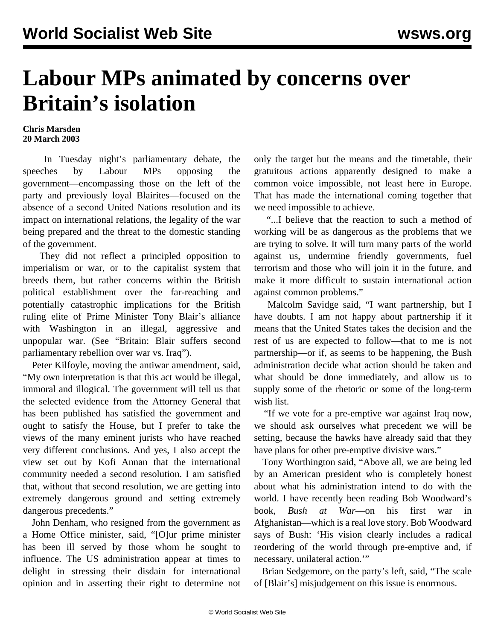## **Labour MPs animated by concerns over Britain's isolation**

## **Chris Marsden 20 March 2003**

 In Tuesday night's parliamentary debate, the speeches by Labour MPs opposing the government—encompassing those on the left of the party and previously loyal Blairites—focused on the absence of a second United Nations resolution and its impact on international relations, the legality of the war being prepared and the threat to the domestic standing of the government.

 They did not reflect a principled opposition to imperialism or war, or to the capitalist system that breeds them, but rather concerns within the British political establishment over the far-reaching and potentially catastrophic implications for the British ruling elite of Prime Minister Tony Blair's alliance with Washington in an illegal, aggressive and unpopular war. (See "[Britain: Blair suffers second](blai-m20.shtml) [parliamentary rebellion over war vs. Iraq"](blai-m20.shtml)).

 Peter Kilfoyle, moving the antiwar amendment, said, "My own interpretation is that this act would be illegal, immoral and illogical. The government will tell us that the selected evidence from the Attorney General that has been published has satisfied the government and ought to satisfy the House, but I prefer to take the views of the many eminent jurists who have reached very different conclusions. And yes, I also accept the view set out by Kofi Annan that the international community needed a second resolution. I am satisfied that, without that second resolution, we are getting into extremely dangerous ground and setting extremely dangerous precedents."

 John Denham, who resigned from the government as a Home Office minister, said, "[O]ur prime minister has been ill served by those whom he sought to influence. The US administration appear at times to delight in stressing their disdain for international opinion and in asserting their right to determine not only the target but the means and the timetable, their gratuitous actions apparently designed to make a common voice impossible, not least here in Europe. That has made the international coming together that we need impossible to achieve.

 "...I believe that the reaction to such a method of working will be as dangerous as the problems that we are trying to solve. It will turn many parts of the world against us, undermine friendly governments, fuel terrorism and those who will join it in the future, and make it more difficult to sustain international action against common problems."

 Malcolm Savidge said, "I want partnership, but I have doubts. I am not happy about partnership if it means that the United States takes the decision and the rest of us are expected to follow—that to me is not partnership—or if, as seems to be happening, the Bush administration decide what action should be taken and what should be done immediately, and allow us to supply some of the rhetoric or some of the long-term wish list.

 "If we vote for a pre-emptive war against Iraq now, we should ask ourselves what precedent we will be setting, because the hawks have already said that they have plans for other pre-emptive divisive wars."

 Tony Worthington said, "Above all, we are being led by an American president who is completely honest about what his administration intend to do with the world. I have recently been reading Bob Woodward's book, *Bush at War*—on his first war in Afghanistan—which is a real love story. Bob Woodward says of Bush: 'His vision clearly includes a radical reordering of the world through pre-emptive and, if necessary, unilateral action.'"

 Brian Sedgemore, on the party's left, said, "The scale of [Blair's] misjudgement on this issue is enormous.